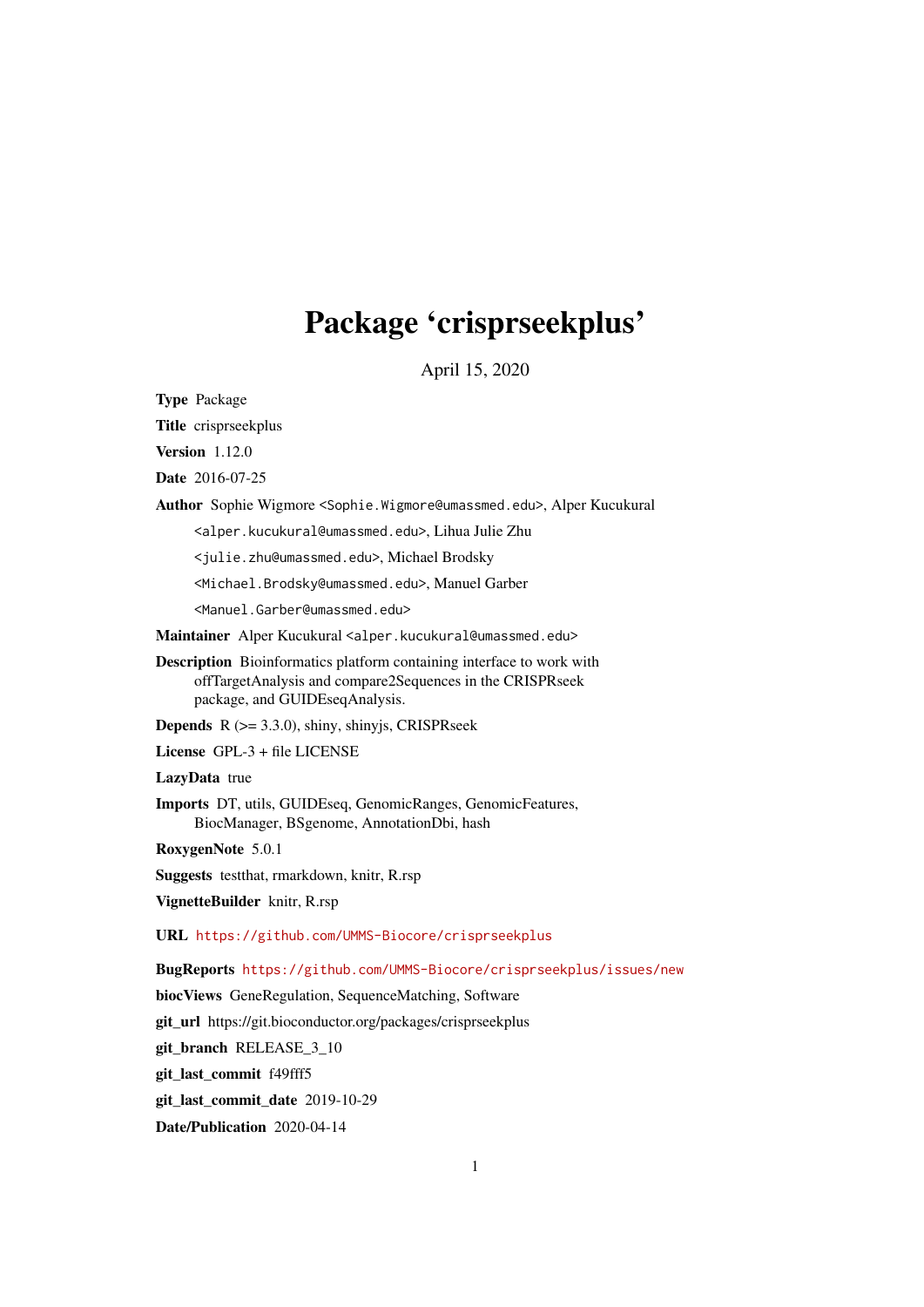# Package 'crisprseekplus'

April 15, 2020

Type Package

Title crisprseekplus

Version 1.12.0

Date 2016-07-25

Author Sophie Wigmore <Sophie.Wigmore@umassmed.edu>, Alper Kucukural

<alper.kucukural@umassmed.edu>, Lihua Julie Zhu

<julie.zhu@umassmed.edu>, Michael Brodsky

<Michael.Brodsky@umassmed.edu>, Manuel Garber

<Manuel.Garber@umassmed.edu>

Maintainer Alper Kucukural <alper.kucukural@umassmed.edu>

Description Bioinformatics platform containing interface to work with offTargetAnalysis and compare2Sequences in the CRISPRseek package, and GUIDEseqAnalysis.

**Depends**  $R$  ( $>= 3.3.0$ ), shiny, shinyjs, CRISPRseek

License GPL-3 + file LICENSE

LazyData true

Imports DT, utils, GUIDEseq, GenomicRanges, GenomicFeatures, BiocManager, BSgenome, AnnotationDbi, hash

RoxygenNote 5.0.1

Suggests testthat, rmarkdown, knitr, R.rsp

VignetteBuilder knitr, R.rsp

URL <https://github.com/UMMS-Biocore/crisprseekplus>

BugReports <https://github.com/UMMS-Biocore/crisprseekplus/issues/new>

biocViews GeneRegulation, SequenceMatching, Software

git\_url https://git.bioconductor.org/packages/crisprseekplus

git\_branch RELEASE\_3\_10

git\_last\_commit f49fff5

git\_last\_commit\_date 2019-10-29

Date/Publication 2020-04-14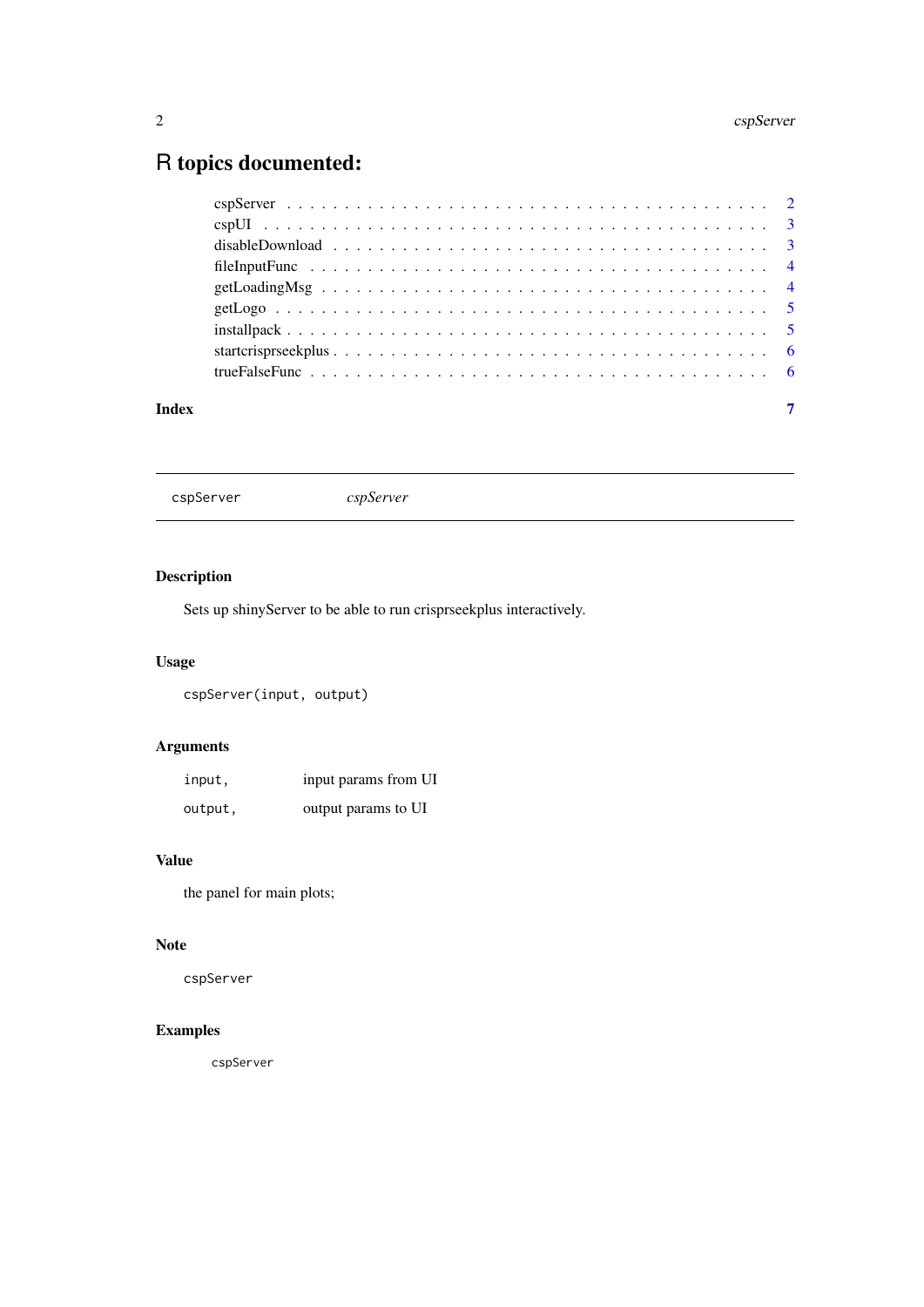#### <span id="page-1-0"></span> $2<sub>2</sub>$  cspServer

# R topics documented:

#### **Index** [7](#page-6-0)

cspServer *cspServer*

# Description

Sets up shinyServer to be able to run crisprseekplus interactively.

# Usage

cspServer(input, output)

# Arguments

| input,  | input params from UI |
|---------|----------------------|
| output, | output params to UI  |

# Value

the panel for main plots;

## Note

cspServer

# Examples

cspServer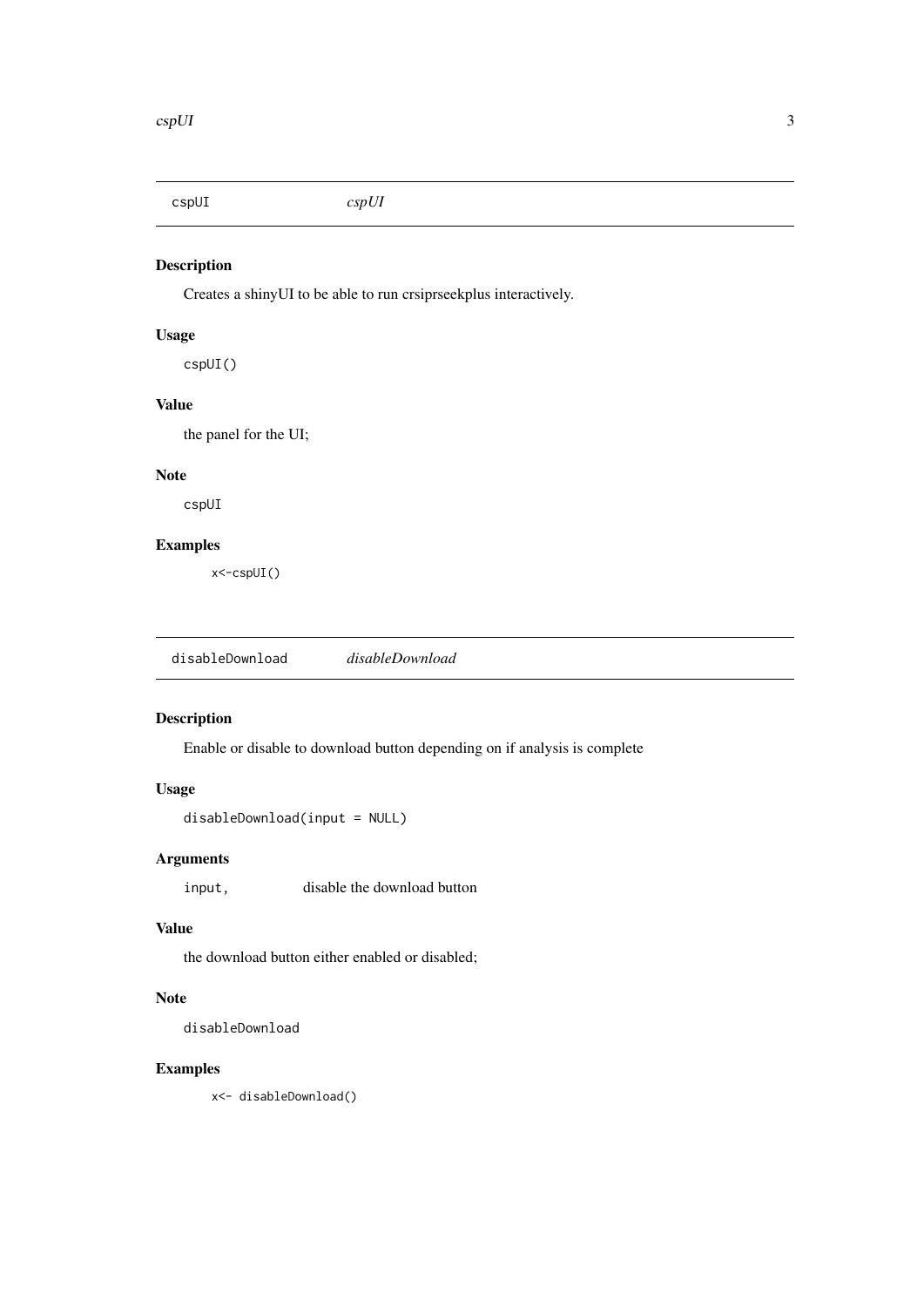<span id="page-2-0"></span>cspUI *cspUI*

# Description

Creates a shinyUI to be able to run crsiprseekplus interactively.

## Usage

cspUI()

#### Value

the panel for the UI;

#### Note

cspUI

#### Examples

x<-cspUI()

disableDownload *disableDownload*

#### Description

Enable or disable to download button depending on if analysis is complete

#### Usage

disableDownload(input = NULL)

#### Arguments

input, disable the download button

#### Value

the download button either enabled or disabled;

#### Note

disableDownload

#### Examples

x<- disableDownload()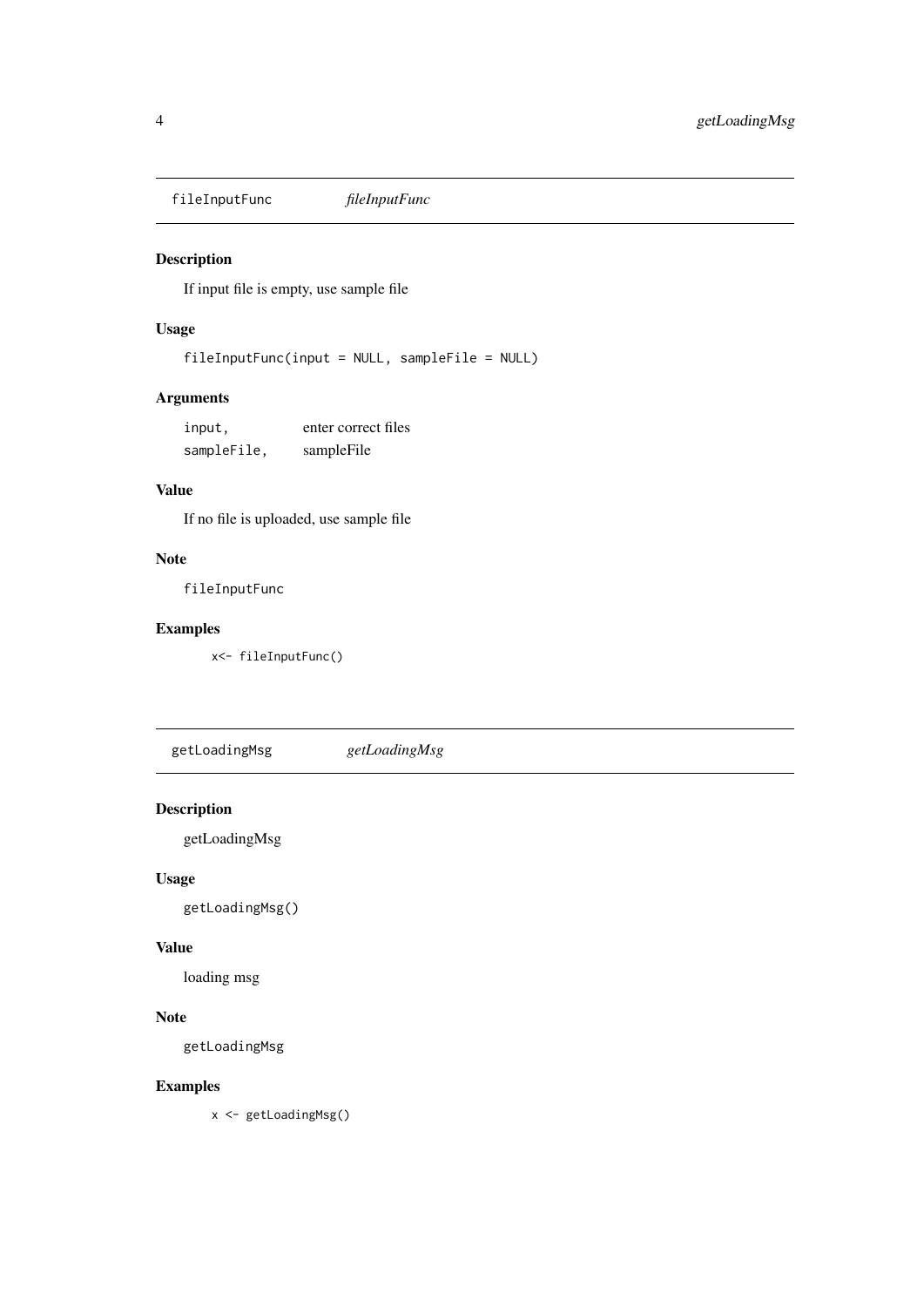<span id="page-3-0"></span>fileInputFunc *fileInputFunc*

#### Description

If input file is empty, use sample file

#### Usage

fileInputFunc(input = NULL, sampleFile = NULL)

# Arguments

| input,      | enter correct files |
|-------------|---------------------|
| sampleFile, | sampleFile          |

## Value

If no file is uploaded, use sample file

# Note

fileInputFunc

#### Examples

x<- fileInputFunc()

getLoadingMsg *getLoadingMsg*

# Description

getLoadingMsg

# Usage

getLoadingMsg()

#### Value

loading msg

# Note

getLoadingMsg

#### Examples

x <- getLoadingMsg()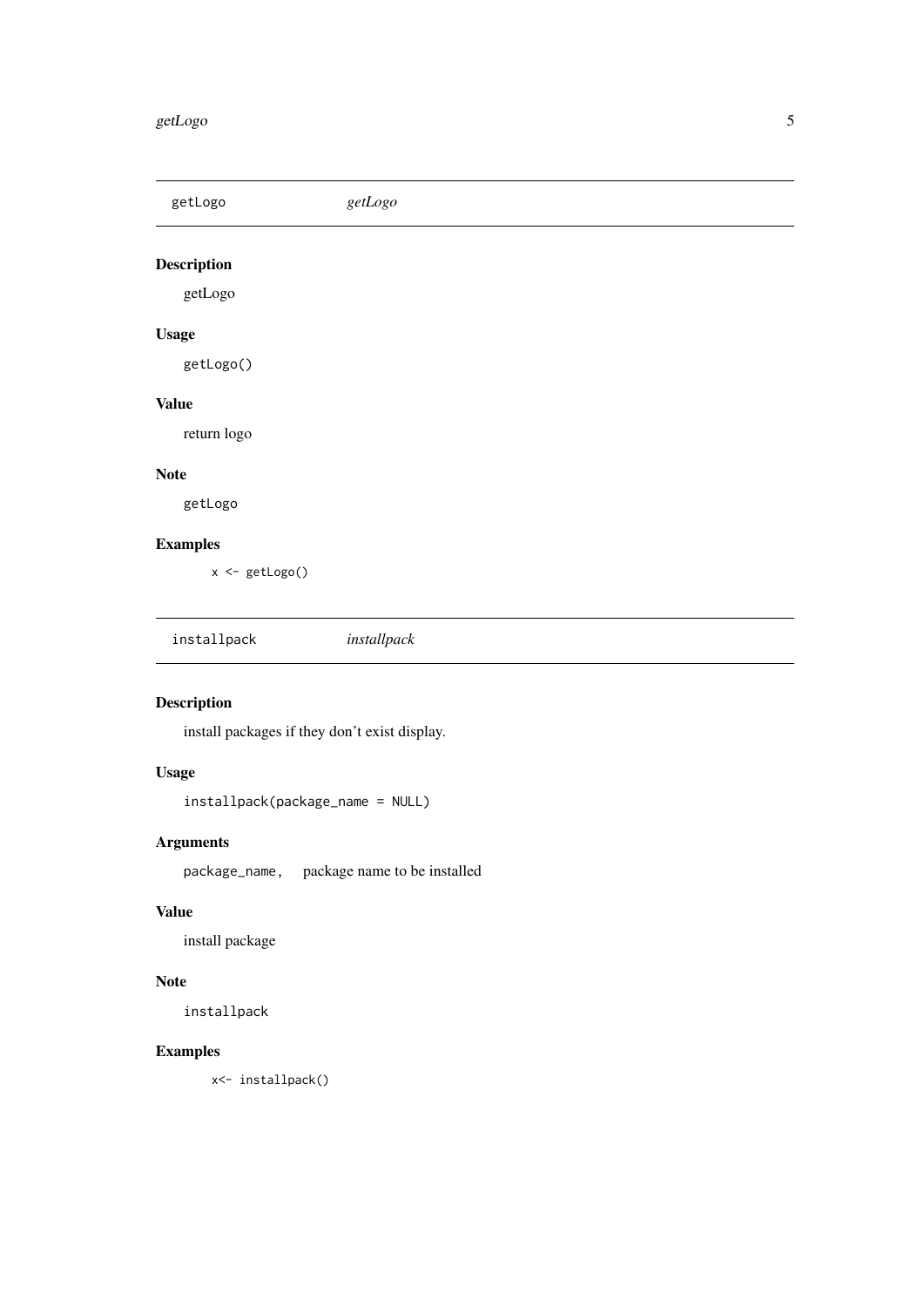#### <span id="page-4-0"></span>getLogo 55 and 55 and 55 and 55 and 55 and 55 and 55 and 55 and 55 and 55 and 55 and 55 and 55 and 55 and 55 and 55 and 55 and 55 and 55 and 55 and 55 and 55 and 55 and 55 and 55 and 55 and 55 and 55 and 55 and 55 and 55 a

getLogo *getLogo* Description getLogo Usage getLogo() Value return logo Note getLogo Examples x <- getLogo() installpack *installpack*

# Description

install packages if they don't exist display.

# Usage

installpack(package\_name = NULL)

# Arguments

package\_name, package name to be installed

# Value

install package

# Note

installpack

# Examples

x<- installpack()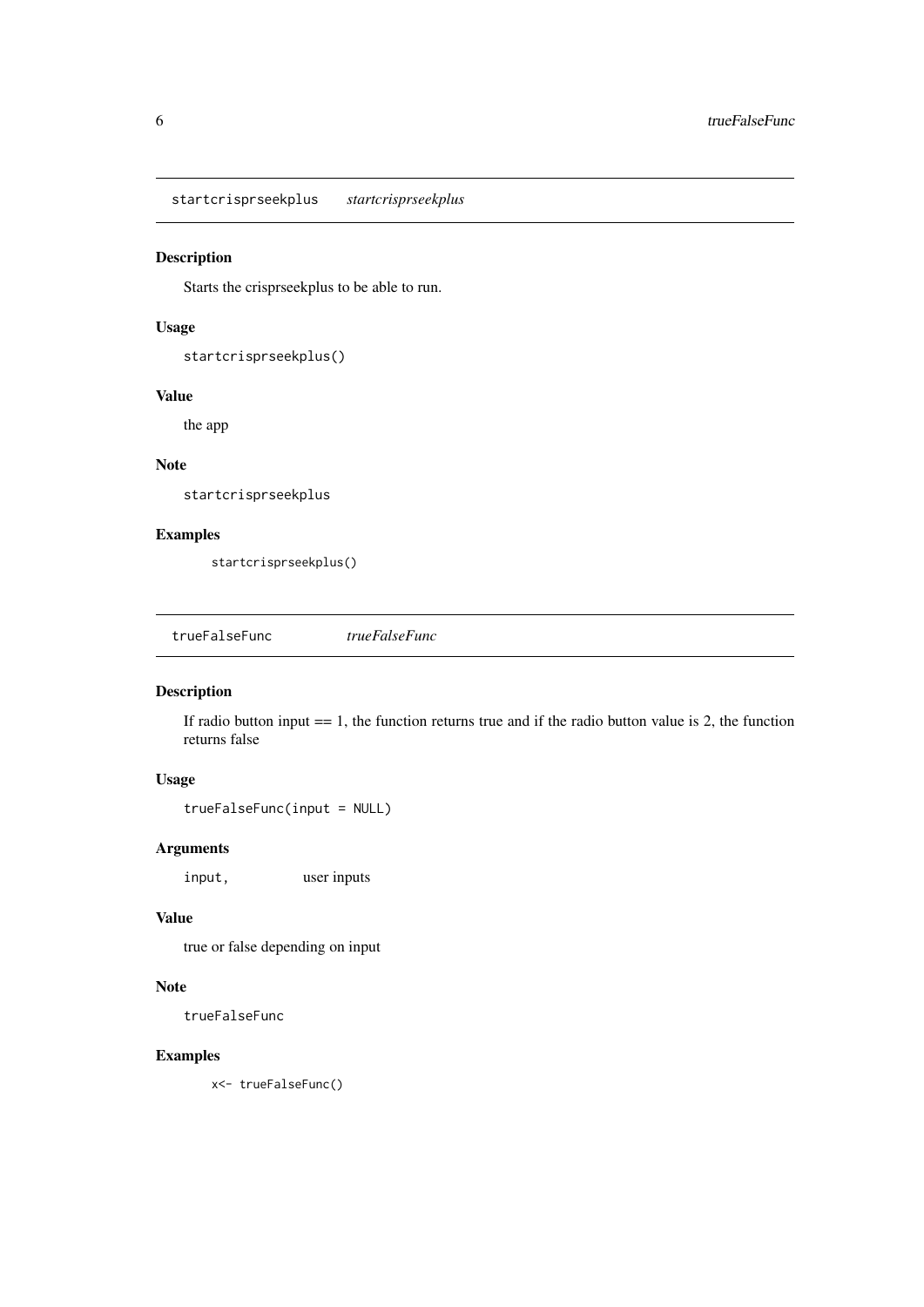<span id="page-5-0"></span>startcrisprseekplus *startcrisprseekplus*

#### Description

Starts the crisprseekplus to be able to run.

#### Usage

```
startcrisprseekplus()
```
#### Value

the app

#### Note

startcrisprseekplus

#### Examples

startcrisprseekplus()

trueFalseFunc *trueFalseFunc*

# Description

If radio button input  $=$  1, the function returns true and if the radio button value is 2, the function returns false

# Usage

trueFalseFunc(input = NULL)

# Arguments

input, user inputs

# Value

true or false depending on input

# Note

trueFalseFunc

#### Examples

x<- trueFalseFunc()